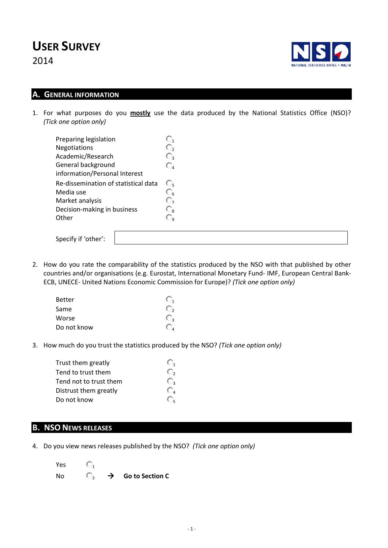# **USER SURVEY**

2014



#### **A. GENERAL INFORMATION**

1. For what purposes do you **mostly** use the data produced by the National Statistics Office (NSO)? *(Tick one option only)*

| Preparing legislation                | O,               |
|--------------------------------------|------------------|
| Negotiations                         | $\mathbb{C}_2$   |
| Academic/Research                    | $\mathbb{C}_{3}$ |
| General background                   | $\mathbb{O}_4$   |
| information/Personal Interest        |                  |
| Re-dissemination of statistical data | O,               |
| Media use                            | $\mathbb{C}_6$   |
| Market analysis                      | О,               |
| Decision-making in business          | $\mathbb{C}_{8}$ |
| Other                                | С,               |
| Specify if 'other':                  |                  |

2. How do you rate the comparability of the statistics produced by the NSO with that published by other countries and/or organisations (e.g. Eurostat, International Monetary Fund- IMF, European Central Bank-ECB, UNECE- United Nations Economic Commission for Europe)? *(Tick one option only)*

| <b>Better</b> | $\overline{1}$ |
|---------------|----------------|
| Same          | U,             |
| Worse         | J,             |
| Do not know   | $\frac{1}{4}$  |

3. How much do you trust the statistics produced by the NSO? *(Tick one option only)*

| Trust them greatly     |    |
|------------------------|----|
| Tend to trust them     | O, |
| Tend not to trust them | U, |
| Distrust them greatly  | O, |
| Do not know            |    |

## **B. NSO NEWS RELEASES**

4. Do you view news releases published by the NSO? *(Tick one option only)*

| Yes |  |                               |
|-----|--|-------------------------------|
| No  |  | $\rightarrow$ Go to Section C |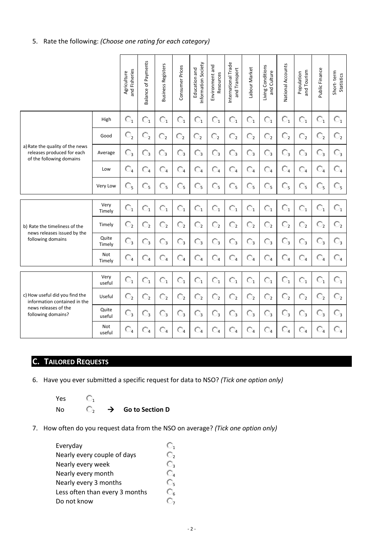#### 5. Rate the following: *(Choose one rating for each category)*

|                                                                                                              |                 | and Fisheries<br>Agriculture | <b>Balance of Payments</b> | <b>Business Registers</b> | Consumer Prices | Information Society<br>Education and | Environment and<br>Resources | International Trade<br>and Transport | Labour Market  | Living Conditions<br>and Culture | National Accounts | and Tourism<br>Population | Public Finance      | Short-term<br>Statistics |
|--------------------------------------------------------------------------------------------------------------|-----------------|------------------------------|----------------------------|---------------------------|-----------------|--------------------------------------|------------------------------|--------------------------------------|----------------|----------------------------------|-------------------|---------------------------|---------------------|--------------------------|
|                                                                                                              | High            | $\mathbb{O}_1$               | $\overline{\mathbb{O}}_1$  | $\mathbb{O}_1$            | $\mathbb{O}_1$  | $\overline{\mathbb{O}}_1$            | $\mathbb{O}_1$               | $\mathbb{O}_1$                       | $\mathbb{O}_1$ | $\mathbb{O}_1$                   | $\mathbb{O}_1$    | $\mathbb{O}_1$            | $\mathbb{O}_1$      | $\mathbb{O}_1$           |
|                                                                                                              | Good            | $\mathbb{O}_2$               | $\mathbb{C}^{}_{2}$        | $\mathbb{C}_2$            | $\mathbb{C}_2$  | $\mathbb{C}_2$                       | $\mathbb{O}_2$               | $\mathbb{O}_2$                       | $\mathbb{O}_2$ | $\mathbb{O}_2$                   | $\mathbb{O}_2$    | $\mathbb{O}_2$            | $\mathbb{O}^{}_{2}$ | $\mathbb{C}_{2}$         |
| a) Rate the quality of the news<br>releases produced for each<br>of the following domains                    | Average         | $\mathbb{C}_3$               | $\mathbb{C}_3$             | $\mathbb{C}_3$            | $\mathbb{C}_3$  | $\mathbb{C}_3$                       | $\mathbb{C}_3$               | $\mathbb{C}_3$                       | $\mathbb{C}_3$ | $\mathbb{C}_3$                   | $\mathbb{C}_3$    | $\mathbb{O}_3$            | $\mathbb{C}_3$      | $\mathbb{O}_3$           |
|                                                                                                              | Low             | $\mathbb{C}_4$               | $\mathbb{O}_4$             | $\mathbb{C}_4$            | $\mathbb{C}_4$  | $\mathbb{O}_4$                       | $\mathbb{O}_4$               | $\mathbb{O}_4$                       | $\Box$ 4       | $\mathbb{C}_4$                   | $\mathbb{O}_4$    | $\mathbb{O}_4$            | $\mathbb{O}_4$      | $\mathbb{O}_4$           |
|                                                                                                              | Very Low        | O5                           | $\mathbb{O}_5$             | $\mathbb{C}_5$            | $\mathbb{O}_5$  | $\mathbb{O}_5$                       | $\mathbb{O}_5$               | $\mathbb{O}_5$                       | $\mathbb{O}_5$ | $\mathbb{O}_5$                   | $\mathbb{C}_5$    | $\mathbb{O}_5$            | $\bigcirc_{5}$      | O5                       |
|                                                                                                              | Very<br>Timely  | $\mathbb{O}_1$               | $\mathbb{O}_1$             | $\mathbb{O}_1$            | $\mathbb{O}_1$  | $\mathbb{O}_1$                       | $\mathbb{O}_1$               | $\mathbb{O}_1$                       | $\mathbb{O}_1$ | $\mathbb{O}_1$                   | $\mathbb{O}_1$    | $\mathbb{O}_1$            | $\mathbb{O}_1$      | $\mathbb{O}_1$           |
| b) Rate the timeliness of the                                                                                | Timely          | $\mathbb{O}_2$               | $\mathbb{O}_2$             | $\mathbb{O}_2$            | $\mathbb{O}_2$  | $\mathbb{O}_2$                       | $\mathbb{O}_2$               | $\mathbb{O}_2$                       | $\mathbb{O}_2$ | $\mathbb{O}_2$                   | $\mathbb{C}_2$    | $\mathbb{O}_2$            | $\mathbb{C}_{2}$    | $\mathbb{C}_2$           |
| news releases issued by the<br>following domains                                                             | Quite<br>Timely | $\mathbb{C}_3$               | $\mathbb{O}_3$             | $\mathbb{C}_3$            | $\mathbb{C}_3$  | $\mathbb{O}_3$                       | $\mathbb{O}_3$               | $\mathbb{O}_3$                       | $\mathbb{C}_3$ | $\mathbb{C}_3$                   | $\mathbb{O}_3$    | $\mathbb{O}_3$            | $\mathbb{C}_3$      | $\mathbb{C}_3$           |
|                                                                                                              | Not<br>Timely   | $\mathbb{C}_4$               | $\mathbb{C}_4$             | $\Box_4$                  | $\Box_4$        | $\mathbb{O}_4$                       | $\mathbb{O}_4$               | $\mathbb{C}_4$                       | $\mathbb{C}_4$ | $\Box_4$                         | $\mathbb{O}_4$    | $\mathbb{O}_4$            | $\Box_4$            | $\Box_4$                 |
|                                                                                                              | Very<br>useful  | $\mathbb{O}_1$               | $\mathbb{O}_1$             | $\bigcirc_1$              | $\mathbb{O}_1$  | $\mathbb{O}_1$                       | $\mathbb{O}_1$               | $\mathbb{O}_1$                       | $\mathbb{O}_1$ | $\mathbb{O}_1$                   | $\mathbb{O}_1$    | $\mathbb{O}_1$            | $\mathbb{O}_1$      | $\mathbb{O}_1$           |
| c) How useful did you find the<br>information contained in the<br>news releases of the<br>following domains? | Useful          | $\mathbb{O}^{}_{2}$          | $\mathbb{O}_2$             | $\mathbb{O}_2$            | $\mathbb{O}_2$  | $\mathbb{O}_2$                       | $\mathbb{O}_2$               | $\mathbb{O}_2$                       | $\mathbb{O}_2$ | $\mathbb{C}_2$                   | $\mathbb{C}_{2}$  | $\mathbb{O}_2$            | $\mathbb{O}^{}_{2}$ | $\mathbb{O}_2$           |
|                                                                                                              | Quite<br>useful | $\mathbb{C}_{3}$             | $\mathbb{O}_3$             | $\mathbb{C}_3$            | $\mathbb{C}_3$  | $\mathbb{O}_3$                       | $\mathbb{O}_3$               | $\mathbb{O}_3$                       | $\mathbb{O}_3$ | $\mathbb{C}_3$                   | $\mathbb{C}_3$    | $\mathbb{O}_3$            | $\mathbb{C}_3$      | $\mathbb{C}_3$           |
|                                                                                                              | Not<br>useful   | $\mathbb{O}_4$               | $\mathbb{O}_4$             | $\mathbb{O}_4$            | $\bigcirc_4$    | $\mathbb{O}_4$                       | $\bigcirc_4$                 | $\mathbb{O}_4$                       | $\mathbb{O}_4$ | $\mathbb{O}_4$                   | $\mathbb{O}_4$    | $\mathbb{O}_4$            | $\mathbb{O}_4$      | $\mathbb{O}_4$           |

# **C. TAILORED REQUESTS**

6. Have you ever submitted a specific request for data to NSO? *(Tick one option only)*

Yes  $\overline{C}_1$ <br>No  $\overline{C}_2$ 

No  $\Box$ ,  $\rightarrow$  Go to Section D

7. How often do you request data from the NSO on average? *(Tick one option only)*

| Everyday                       |                |
|--------------------------------|----------------|
| Nearly every couple of days    | O,             |
| Nearly every week              | O,             |
| Nearly every month             | O,             |
| Nearly every 3 months          | О,             |
| Less often than every 3 months | $\mathbb{C}_6$ |
| Do not know                    |                |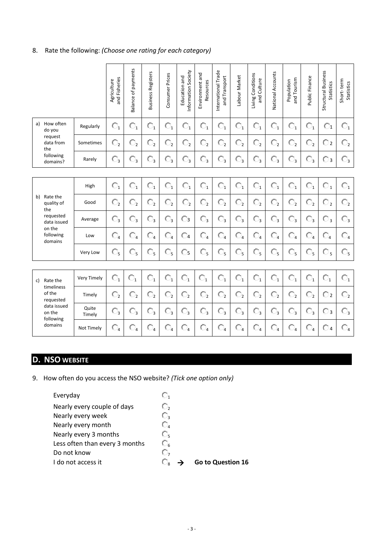### 8. Rate the following: *(Choose one rating for each category)*

|                                     |                 | and Fisheries<br>Agriculture | Balance of payments       | <b>Business Registers</b> | Consumer Prices     | Information Society<br>Education and | Environment and<br>Resources | International Trade<br>and Transport | Labour Market             | Living Conditions<br>and Culture | National Accounts   | and Tourism<br>Population | Public Finance | Structural Business<br><b>Statistics</b> | Short-term<br>Statistics  |
|-------------------------------------|-----------------|------------------------------|---------------------------|---------------------------|---------------------|--------------------------------------|------------------------------|--------------------------------------|---------------------------|----------------------------------|---------------------|---------------------------|----------------|------------------------------------------|---------------------------|
| How often<br>a)<br>do you           | Regularly       | $\mathbb{O}_1$               | $\mathbb{O}_1$            | $\mathbb{O}_1$            | $\mathbb{O}_1$      | $\mathbb{O}_1$                       | $\mathbb{O}_1$               | $\mathbb{O}_1$                       | $\mathbb{O}_1$            | $\mathbb{O}_1$                   | $\mathbb{O}_1$      | $\mathbb{O}_1$            | $\mathbb{O}_1$ | $\mathbb{C}_1$                           | $\mathbb{O}_1$            |
| request<br>data from<br>the         | Sometimes       | $\mathbb{O}_2$               | $\mathbb{O}_2$            | $\mathbb{O}_2$            | $\mathbb{C}^{}_{2}$ | $\mathbb{O}_2$                       | $\mathbb{O}_2$               | $\mathbb{O}_2$                       | $\mathbb{O}_2$            | $\mathbb{O}_2$                   | $\mathbb{O}_2$      | $\mathbb{O}_2$            | $\mathbb{O}_2$ | $\overline{\mathbb{O}}$ 2                | $\mathbb{O}_2$            |
| following<br>domains?               | Rarely          | $\mathbb{O}_3$               | $\mathbb{C}_3$            | $\mathbb{C}_3$            | $\mathbb{C}_3$      | $\mathbb{C}_3$                       | $\mathbb{O}_3$               | $\mathbb{C}_3$                       | $\mathbb{C}_3$            | $\mathbb{C}_3$                   | $\mathbb{C}_3$      | $\mathbb{C}_3$            | $\mathbb{C}_3$ | $\mathbb{C}$ 3                           | $\mathbb{C}^3$            |
|                                     |                 |                              |                           |                           |                     |                                      |                              |                                      |                           |                                  |                     |                           |                |                                          |                           |
|                                     | High            | $\mathbb{O}_1$               | $\mathbb{O}_1$            | $\mathbb{O}_1$            | $\mathbb{O}_1$      | $\mathbb{O}_1$                       | $\mathbb{O}_1$               | $\mathbb{O}_1$                       | $\mathbb{O}_1$            | $\mathbb{O}_1$                   | $\mathbb{O}_1$      | $\mathbb{O}_1$            | $\mathbb{O}_1$ | $\mathbb{O}_1$                           | $\mathbb{O}_1$            |
| Rate the<br>b)<br>quality of<br>the | Good            | $\mathbb{O}_2$               | $\mathbb{O}^{}_{2}$       | $\mathbb{C}_{2}$          | $\mathbb{O}_2$      | $\mathbb{O}^{}_{2}$                  | $\mathbb{O}_2$               | $\mathbb{O}_2$                       | $\mathbb{O}_2$            | $\mathbb{C}^{}_{2}$              | $\mathbb{O}^{}_{2}$ | $\mathbb{O}^{}_{2}$       | $\mathbb{O}_2$ | $\mathbb{O}_2$                           | $\mathbb{O}_2$            |
| requested<br>data issued            | Average         | $\mathbb{C}_3$               | $\overline{\mathbb{O}}_3$ | $\mathbb{C}_3$            | $\mathbb{O}_3$      | $\mathbb{C}_3$                       | $\mathbb{O}_3$               | $\mathbb{O}_3$                       | $\mathbb{O}_3$            | $\mathbb{O}_3$                   | $\mathbb{O}_3$      | $\mathbb{O}_3$            | $\mathbb{O}_3$ | $\mathbb{O}_3$                           | $\overline{\mathbb{O}}_3$ |
| on the<br>following<br>domains      | Low             | $\mathbb{O}_4$               | $\mathbb{O}_4$            | $\mathbb{O}_4$            | $\mathbb{O}_4$      | $\Box$ 4                             | $\mathbb{O}_4$               | $\mathbb{O}_4$                       | $\mathbb{O}_4$            | $\mathbb{O}_4$                   | $\mathbb{C}_4$      | $\mathbb{C}_4$            | $\mathbb{O}_4$ | $\mathbb{O}_4$                           | $\mathbb{O}_4$            |
|                                     | Very Low        | $\mathbb{O}_5$               | О,                        | О,                        | $\mathbb{O}_5$      | O5                                   | $\mathbb{C}_{5}$             | $\mathbb{O}_5$                       | $\mathbb{O}_5$            | $\mathbb{C}_{5}$                 | $\mathbb{O}_5$      | О,                        | $\mathbb{O}_5$ | $\mathbb{O}_5$                           | $\mathbb{O}_5$            |
|                                     |                 |                              |                           |                           |                     |                                      |                              |                                      |                           |                                  |                     |                           |                |                                          |                           |
| Rate the<br>c)                      | Very Timely     | $\mathbb{O}_1$               | $\mathbb{O}_1$            | $\mathbb{O}_1$            | $\mathbb{O}_1$      | $\mathbb{O}_1$                       | $\mathbb{O}_1$               | $\mathbb{O}_1$                       | $\mathbb{O}_1$            | $\mathbb{O}_1$                   | $\mathbb{O}_1$      | $\mathbb{O}_1$            | $\mathbb{O}_1$ | $\mathbb{O}_1$                           | $\mathbb{O}_1$            |
| timeliness<br>of the<br>requested   | Timely          | $\mathbb{C}^{}_{2}$          | $\mathbb{O}^{}_{2}$       | $\mathbb{O}_2$            | $\mathbb{C}^{}_{2}$ | $\mathbb{O}_2$                       | $\mathbb{O}_2$               | $\mathbb{O}_2$                       | $\overline{\mathbb{O}}_2$ | $\mathbb{C}^{}_{2}$              | $\mathbb{O}_2$      | $\mathbb{O}_2$            | $\mathbb{O}_2$ | $\mathbb{O}_2$                           | $\mathbb{O}_2$            |
| data issued<br>on the<br>following  | Quite<br>Timely | $\mathbb{C}^3$               | $\mathbb{O}_3$            | $\mathbb{O}_3$            | $\mathbb{C}_3$      | $\mathbb{O}_3$                       | $\mathbb{C}^3$               | $\mathbb{O}_3$                       | $\mathbb{O}_3$            | $\mathbb{O}_3$                   | $\mathbb{O}_3$      | $\mathbb{O}_3$            | $\mathbb{C}^3$ | $\overline{\bigcirc}$ 3                  | $\mathbb{O}_3$            |
| domains                             | Not Timely      | $\mathbb{C}_4$               | $\mathbb{O}_4$            | $\mathbb{C}_4$            | $\mathbb{O}_4$      | $\mathbb{O}_4$                       | $\mathbb{C}_4$               | $\mathbb{O}_4$                       | $\mathbb{O}_4$            | $\mathbb{O}_4$                   | $\mathbb{O}_4$      | $\mathbb{C}_4$            | $\mathbb{C}_4$ | <b>O</b> 4                               | $\mathbb{O}_4$            |

# **D. NSO WEBSITE**

9. How often do you access the NSO website? *(Tick one option only)*

| О,             |                   |
|----------------|-------------------|
| О,             |                   |
| O,             |                   |
| O,             |                   |
| О,             |                   |
| $\mathbb{O}_6$ |                   |
| O,             |                   |
|                | Go to Question 16 |
|                |                   |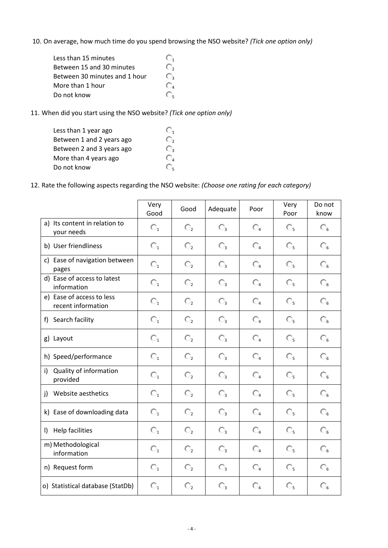10. On average, how much time do you spend browsing the NSO website? *(Tick one option only)*

| Less than 15 minutes          |    |
|-------------------------------|----|
| Between 15 and 30 minutes     | O, |
| Between 30 minutes and 1 hour | O, |
| More than 1 hour              |    |
| Do not know                   |    |

11. When did you start using the NSO website? *(Tick one option only)*

| Less than 1 year ago      |    |
|---------------------------|----|
| Between 1 and 2 years ago | O, |
| Between 2 and 3 years ago | O, |
| More than 4 years ago     | O4 |
| Do not know               | J, |
|                           |    |

12. Rate the following aspects regarding the NSO website: *(Choose one rating for each category)*

|                                                 | Very<br>Good   | Good                | Adequate         | Poor           | Very<br>Poor   | Do not<br>know |
|-------------------------------------------------|----------------|---------------------|------------------|----------------|----------------|----------------|
| a) Its content in relation to<br>your needs     | $\mathbb{O}_1$ | $\mathbb{O}^{}_{2}$ | $\mathbb{C}_3$   | $\mathbb{O}_4$ | О,             | $\mathbb{O}_6$ |
| b) User friendliness                            | $\mathbb{O}_1$ | $\mathbb{O}^{}_{2}$ | $\mathbb{C}_{3}$ | $\mathbb{O}_4$ | $\mathbb{O}_5$ | $\mathbb{C}_6$ |
| c) Ease of navigation between<br>pages          | $\mathbb{O}_1$ | $\mathbb{O}^{}_{2}$ | $\mathbb{C}_{3}$ | $\mathbb{O}_4$ | О,             | $\mathbb{C}_6$ |
| d) Ease of access to latest<br>information      | $\mathbb{O}_1$ | $\mathbb{O}_2$      | $\mathbb{C}_{3}$ | $\mathbb{O}_4$ | О,             | $\mathbb{C}_6$ |
| e) Ease of access to less<br>recent information | $\mathbb{O}_1$ | $\mathbb{O}^{}_{2}$ | $\mathbb{C}_{3}$ | $\mathbb{O}_4$ | О,             | $\mathbb{C}_6$ |
| f) Search facility                              | $\mathbb{O}_1$ | $\mathbb{O}^{}_{2}$ | $\mathbb{C}_{3}$ | $\mathbb{C}_4$ | О,             | $\mathbb{C}_6$ |
| g) Layout                                       | $\mathbb{O}_1$ | $\mathbb{O}^{}_{2}$ | $\mathbb{C}_{3}$ | $\mathbb{O}_4$ | O,             | $\mathbb{C}_6$ |
| h) Speed/performance                            | $\mathbb{O}_1$ | $\mathbb{O}_2$      | $\mathbb{C}_3$   | $\mathbb{O}_4$ | О,             | $\mathbb{O}_6$ |
| Quality of information<br>i)<br>provided        | $\mathbb{O}_1$ | $\mathbb{O}^{}_{2}$ | $\mathbb{C}_{3}$ | $\mathbb{C}_4$ | О,             | $\mathbb{C}_6$ |
| Website aesthetics<br>j)                        | О,             | $\mathbb{O}^{}_{2}$ | $\mathbb{C}_3$   | $\mathbb{O}_4$ | $\mathbb{O}_5$ | $\mathbb{C}_6$ |
| k) Ease of downloading data                     | $\mathbb{O}_1$ | $\mathbb{O}^{}_{2}$ | $\mathbb{C}_3$   | $\mathbb{O}_4$ | $\mathbb{O}_5$ | $\mathbb{C}_6$ |
| Help facilities<br>$\mathsf{I}$                 | $\mathbb{O}_1$ | $\mathbb{O}^{}_{2}$ | $\mathbb{C}_{3}$ | $\mathbb{C}_4$ | О,             | $\mathbb{C}_6$ |
| m) Methodological<br>information                | $\mathbb{O}_1$ | $\mathbb{O}^{}_{2}$ | $\mathbb{C}_{3}$ | $\mathbb{O}_4$ | О,             | $\mathbb{C}_6$ |
| n) Request form                                 | $\mathbb{O}_1$ | $\mathbb{O}^{}_{2}$ | $\mathbb{O}_3$   | $\mathbb{C}_4$ | $\mathbb{O}_5$ | $\mathbb{O}_6$ |
| o) Statistical database (StatDb)                | $\mathbb{O}_1$ | $\mathbb{O}_2$      | $\mathbb{C}_{3}$ | $\mathbb{O}_4$ | O,             | $\mathbb{C}_6$ |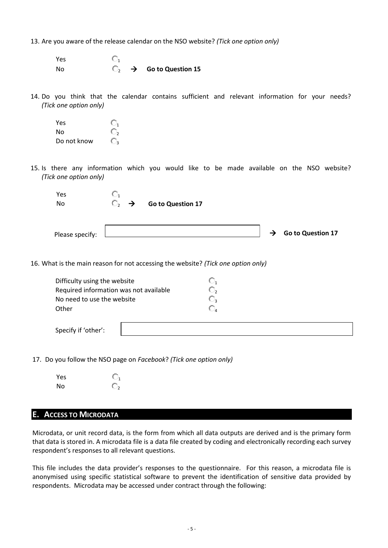13. Are you aware of the release calendar on the NSO website? *(Tick one option only)*

Yes  $\mathbb{C}_1$ No  $\bigcirc$   $\rightarrow$  **Go to Question 15** 

14. Do you think that the calendar contains sufficient and relevant information for your needs? *(Tick one option only)*

Yes  $\mathbb{O}_1$ No  $\bigcirc$ Do not know

15. Is there any information which you would like to be made available on the NSO website? *(Tick one option only)*

| Yes<br>No       | $\mathbb{O}_2$ $\rightarrow$ | Go to Question 17 |  |                                 |
|-----------------|------------------------------|-------------------|--|---------------------------------|
| Please specify: |                              |                   |  | $\rightarrow$ Go to Question 17 |

16. What is the main reason for not accessing the website? *(Tick one option only)*

| Difficulty using the website           | O. |
|----------------------------------------|----|
| Required information was not available | O, |
| No need to use the website             | O, |
| Other                                  | O, |
| Specify if 'other':                    |    |

17. Do you follow the NSO page on *Facebook*? *(Tick one option only)*

| Yes |  |
|-----|--|
| No  |  |

#### **E. ACCESS TO MICRODATA**

Microdata, or unit record data, is the form from which all data outputs are derived and is the primary form that data is stored in. A microdata file is a data file created by coding and electronically recording each survey respondent's responses to all relevant questions.

This file includes the data provider's responses to the questionnaire. For this reason, a microdata file is anonymised using specific statistical software to prevent the identification of sensitive data provided by respondents. Microdata may be accessed under contract through the following: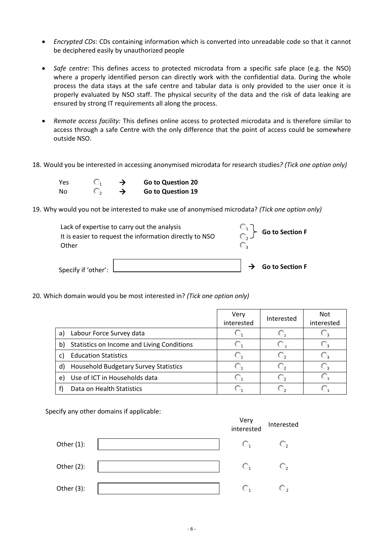- *Encrypted CDs*: CDs containing information which is converted into unreadable code so that it cannot be deciphered easily by unauthorized people
- *Safe centre*: This defines access to protected microdata from a specific safe place (e.g. the NSO) where a properly identified person can directly work with the confidential data. During the whole process the data stays at the safe centre and tabular data is only provided to the user once it is properly evaluated by NSO staff. The physical security of the data and the risk of data leaking are ensured by strong IT requirements all along the process.
- *Remote access facility:* This defines online access to protected microdata and is therefore similar to access through a safe Centre with the only difference that the point of access could be somewhere outside NSO.
- 18. Would you be interested in accessing anonymised microdata for research studies*? (Tick one option only)*

| Yes | O, | → | <b>Go to Question 20</b> |
|-----|----|---|--------------------------|
| No  | O, | → | Go to Question 19        |

19. Why would you not be interested to make use of anonymised microdata? *(Tick one option only)*

| Lack of expertise to carry out the analysis<br>It is easier to request the information directly to NSO<br>Other | $\begin{bmatrix} 1 \\ 0 \end{bmatrix}$ Go to Section F |                               |
|-----------------------------------------------------------------------------------------------------------------|--------------------------------------------------------|-------------------------------|
| Specify if 'other':                                                                                             |                                                        | $\rightarrow$ Go to Section F |

20. Which domain would you be most interested in? *(Tick one option only)*

|    |                                              | Very<br>interested | Interested  | <b>Not</b><br>interested |
|----|----------------------------------------------|--------------------|-------------|--------------------------|
| a) | Labour Force Survey data                     |                    | <b>U.S.</b> |                          |
| b) | Statistics on Income and Living Conditions   |                    | IJ,         |                          |
| C) | <b>Education Statistics</b>                  |                    |             |                          |
| d) | <b>Household Budgetary Survey Statistics</b> |                    |             |                          |
| e) | Use of ICT in Households data                |                    |             |                          |
|    | Data on Health Statistics                    |                    |             |                          |

Specify any other domains if applicable:

|               | Very<br>interested | Interested     |
|---------------|--------------------|----------------|
| Other $(1)$ : | O,                 | $\mathbb{C}_2$ |
| Other $(2)$ : | О,                 | O,             |
| Other $(3)$ : | O,                 | U,             |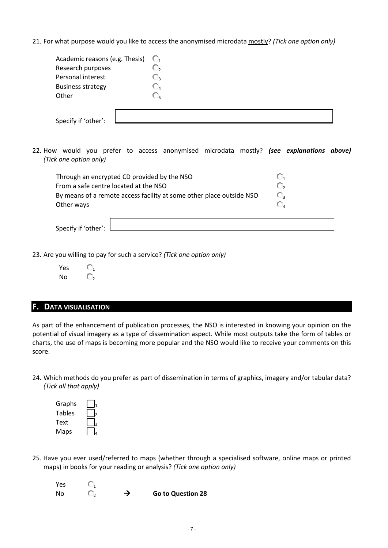21. For what purpose would you like to access the anonymised microdata mostly? *(Tick one option only)*

| Academic reasons (e.g. Thesis) $\mathbb{C}_1$ |    |
|-----------------------------------------------|----|
| Research purposes                             |    |
| Personal interest                             | └┚ |
| <b>Business strategy</b>                      | ◡▵ |
| Other                                         | U. |
|                                               |    |
|                                               |    |
| Specify if 'other':                           |    |

22. How would you prefer to access anonymised microdata mostly? *(see explanations above) (Tick one option only)*

| Through an encrypted CD provided by the NSO                          | L. |
|----------------------------------------------------------------------|----|
| From a safe centre located at the NSO                                | O, |
| By means of a remote access facility at some other place outside NSO | О. |
| Other ways                                                           |    |
|                                                                      |    |

Specify if 'other':

23. Are you willing to pay for such a service? *(Tick one option only)*

| Yes |  |
|-----|--|
| No  |  |

#### **F. DATA VISUALISATION**

As part of the enhancement of publication processes, the NSO is interested in knowing your opinion on the potential of visual imagery as a type of dissemination aspect. While most outputs take the form of tables or charts, the use of maps is becoming more popular and the NSO would like to receive your comments on this score.

24. Which methods do you prefer as part of dissemination in terms of graphics, imagery and/or tabular data? *(Tick all that apply)*

| Graphs        |  |
|---------------|--|
| <b>Tables</b> |  |
| Text          |  |
| Maps          |  |

25. Have you ever used/referred to maps (whether through a specialised software, online maps or printed maps) in books for your reading or analysis? *(Tick one option only)*

| Yes |               |                          |
|-----|---------------|--------------------------|
| No  | $\rightarrow$ | <b>Go to Question 28</b> |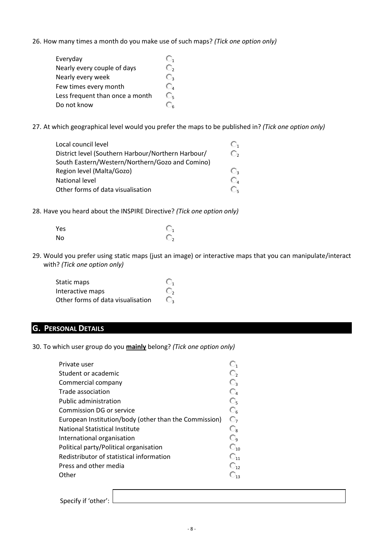26. How many times a month do you make use of such maps? *(Tick one option only)*

| Everyday                        |    |
|---------------------------------|----|
| Nearly every couple of days     | ٦, |
| Nearly every week               | J, |
| Few times every month           | O, |
| Less frequent than once a month | O, |
| Do not know                     |    |

27. At which geographical level would you prefer the maps to be published in? *(Tick one option only)*

| Local council level                                | O,         |
|----------------------------------------------------|------------|
| District level (Southern Harbour/Northern Harbour/ | O,         |
| South Eastern/Western/Northern/Gozo and Comino)    |            |
| Region level (Malta/Gozo)                          | O,         |
| National level                                     | $\bigcirc$ |
| Other forms of data visualisation                  | O.         |

28. Have you heard about the INSPIRE Directive? *(Tick one option only)*

| Yes | $\mathbb{O}_1$ |
|-----|----------------|
| No  | $\mathbb{O}_2$ |

29. Would you prefer using static maps (just an image) or interactive maps that you can manipulate/interact with? *(Tick one option only)*

| Static maps                       | O, |
|-----------------------------------|----|
| Interactive maps                  |    |
| Other forms of data visualisation | O, |

## **G. PERSONAL DETAILS**

30. To which user group do you **mainly** belong? *(Tick one option only)*

| Private user                                          | O,                |
|-------------------------------------------------------|-------------------|
| Student or academic                                   | O,                |
| Commercial company                                    | O3.               |
| Trade association                                     | $\mathbb{C}_4$    |
| Public administration                                 | О,                |
| Commission DG or service                              | $\mathbb{C}_6$    |
| European Institution/body (other than the Commission) | O,                |
| <b>National Statistical Institute</b>                 | $\mathbb{C}_{8}$  |
| International organisation                            | O,                |
| Political party/Political organisation                | $\mathbb{O}_{10}$ |
| Redistributor of statistical information              | $\mathbb{C}_{11}$ |
| Press and other media                                 | $\mathbb{C}_{12}$ |
| Other                                                 | ∪.,               |
|                                                       |                   |

Specify if 'other':